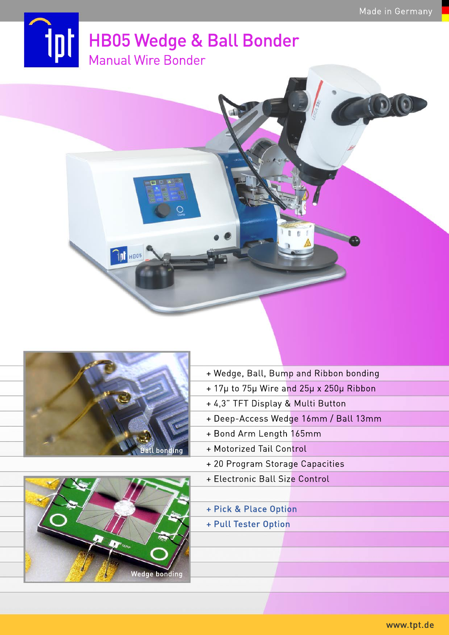



**Tri** HB05



- + Wedge, Ball, Bump and Ribbon bonding
- + 17µ to 75µ Wire and 25µ x 250µ Ribbon
- + 4,3" TFT Display & Multi Button
- + Deep-Access Wedge 16mm / Ball 13mm
- + Bond Arm Length 165mm
- + Motorized Tail Control
- + 20 Program Storage Capacities
- + Electronic Ball Size Control
- + Pick & Place Option
- + Pull Tester Option